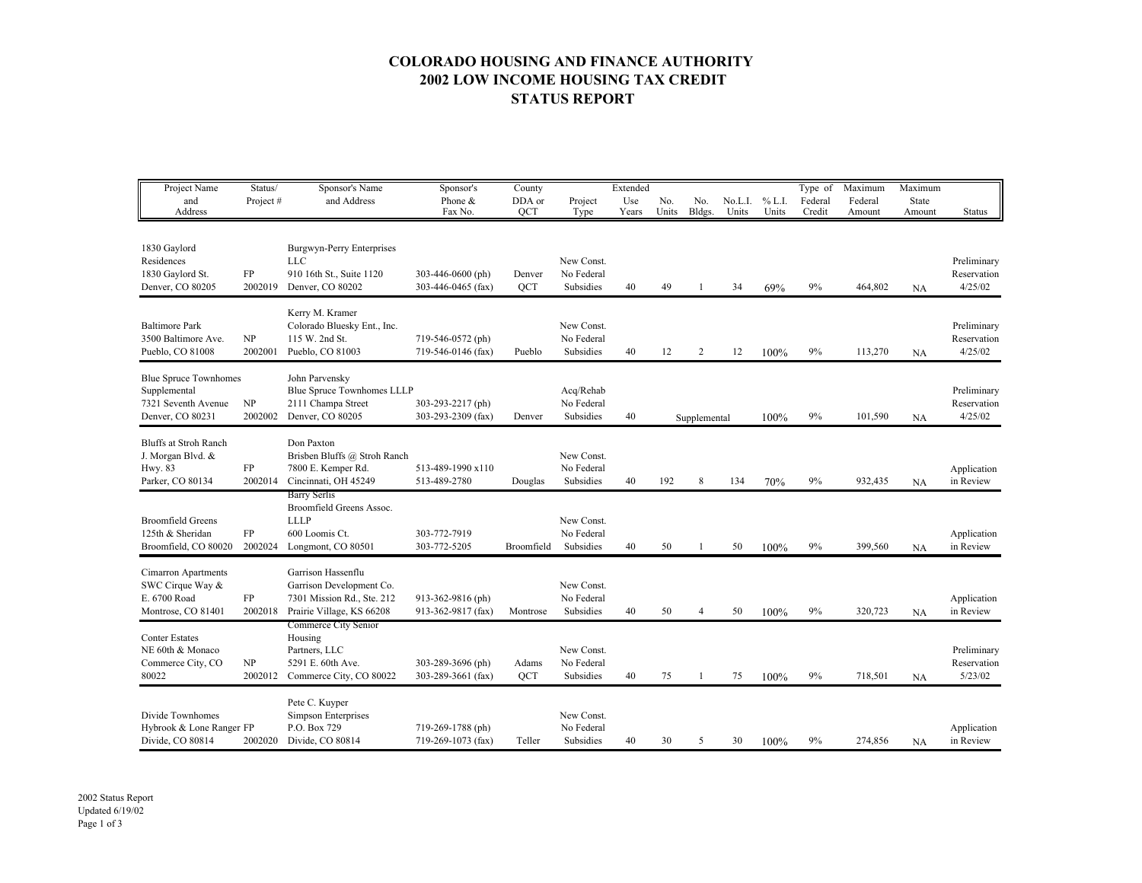## **COLORADO HOUSING AND FINANCE AUTHORITY 2002 LOW INCOME HOUSING TAX CREDIT STATUS REPORT**

| Project Name<br>and<br>Address                                                          | Status/<br>Project#   | Sponsor's Name<br>and Address                                                                             | Sponsor's<br>Phone &<br>Fax No.         | County<br>DDA or<br>QCT | Project<br>Type                       | Extended<br>Use<br>Years | No.<br>Units | No.<br>Bldgs. | No.L.I.<br>Units | % L.I.<br>Units | Type of<br>Federal<br>Credit | Maximum<br>Federal<br>Amount | Maximum<br>State<br>Amount | Status                                |
|-----------------------------------------------------------------------------------------|-----------------------|-----------------------------------------------------------------------------------------------------------|-----------------------------------------|-------------------------|---------------------------------------|--------------------------|--------------|---------------|------------------|-----------------|------------------------------|------------------------------|----------------------------|---------------------------------------|
| 1830 Gaylord<br>Residences<br>1830 Gaylord St.<br>Denver, CO 80205                      | FP<br>2002019         | Burgwyn-Perry Enterprises<br>LLC<br>910 16th St., Suite 1120<br>Denver, CO 80202                          | 303-446-0600 (ph)<br>303-446-0465 (fax) | Denver<br><b>OCT</b>    | New Const.<br>No Federal<br>Subsidies | 40                       | 49           |               | 34               | 69%             | 9%                           | 464,802                      | NA                         | Preliminary<br>Reservation<br>4/25/02 |
| <b>Baltimore Park</b><br>3500 Baltimore Ave.<br>Pueblo, CO 81008                        | NP<br>2002001         | Kerry M. Kramer<br>Colorado Bluesky Ent., Inc.<br>115 W. 2nd St.<br>Pueblo, CO 81003                      | 719-546-0572 (ph)<br>719-546-0146 (fax) | Pueblo                  | New Const.<br>No Federal<br>Subsidies | 40                       | 12           | 2             | 12               | 100%            | 9%                           | 113,270                      | NA                         | Preliminary<br>Reservation<br>4/25/02 |
| <b>Blue Spruce Townhomes</b><br>Supplemental<br>7321 Seventh Avenue<br>Denver, CO 80231 | NP<br>2002002         | John Parvensky<br>Blue Spruce Townhomes LLLP<br>2111 Champa Street<br>Denver, CO 80205                    | 303-293-2217 (ph)<br>303-293-2309 (fax) | Denver                  | Acq/Rehab<br>No Federal<br>Subsidies  | 40                       |              | Supplemental  |                  | 100%            | 9%                           | 101,590                      | NA                         | Preliminary<br>Reservation<br>4/25/02 |
| <b>Bluffs at Stroh Ranch</b><br>J. Morgan Blvd. &<br>Hwy. 83<br>Parker, CO 80134        | FP<br>2002014         | Don Paxton<br>Brisben Bluffs @ Stroh Ranch<br>7800 E. Kemper Rd.<br>Cincinnati, OH 45249                  | 513-489-1990 x110<br>513-489-2780       | Douglas                 | New Const.<br>No Federal<br>Subsidies | 40                       | 192          | 8             | 134              | 70%             | 9%                           | 932,435                      | NA                         | Application<br>in Review              |
| <b>Broomfield Greens</b><br>125th & Sheridan<br>Broomfield, CO 80020                    | ${\rm FP}$<br>2002024 | <b>Barry Serlis</b><br>Broomfield Greens Assoc.<br><b>LLLP</b><br>600 Loomis Ct.<br>Longmont, CO 80501    | 303-772-7919<br>303-772-5205            | Broomfield              | New Const.<br>No Federal<br>Subsidies | 40                       | 50           |               | 50               | 100%            | 9%                           | 399,560                      | <b>NA</b>                  | Application<br>in Review              |
| Cimarron Apartments<br>SWC Cirque Way &<br>E. 6700 Road<br>Montrose, CO 81401           | FP<br>2002018         | Garrison Hassenflu<br>Garrison Development Co.<br>7301 Mission Rd., Ste. 212<br>Prairie Village, KS 66208 | 913-362-9816 (ph)<br>913-362-9817 (fax) | Montrose                | New Const.<br>No Federal<br>Subsidies | 40                       | 50           | 4             | 50               | 100%            | 9%                           | 320,723                      | NA                         | Application<br>in Review              |
| <b>Conter Estates</b><br>NE 60th & Monaco<br>Commerce City, CO<br>80022                 | NP<br>2002012         | Commerce City Senior<br>Housing<br>Partners, LLC<br>5291 E. 60th Ave.<br>Commerce City, CO 80022          | 303-289-3696 (ph)<br>303-289-3661 (fax) | Adams<br>OCT            | New Const.<br>No Federal<br>Subsidies | 40                       | 75           | -1            | 75               | 100%            | 9%                           | 718,501                      | NA                         | Preliminary<br>Reservation<br>5/23/02 |
| Divide Townhomes<br>Hybrook & Lone Ranger FP<br>Divide, CO 80814                        | 2002020               | Pete C. Kuyper<br>Simpson Enterprises<br>P.O. Box 729<br>Divide, CO 80814                                 | 719-269-1788 (ph)<br>719-269-1073 (fax) | Teller                  | New Const.<br>No Federal<br>Subsidies | 40                       | 30           | 5             | 30               | 100%            | 9%                           | 274,856                      | <b>NA</b>                  | Application<br>in Review              |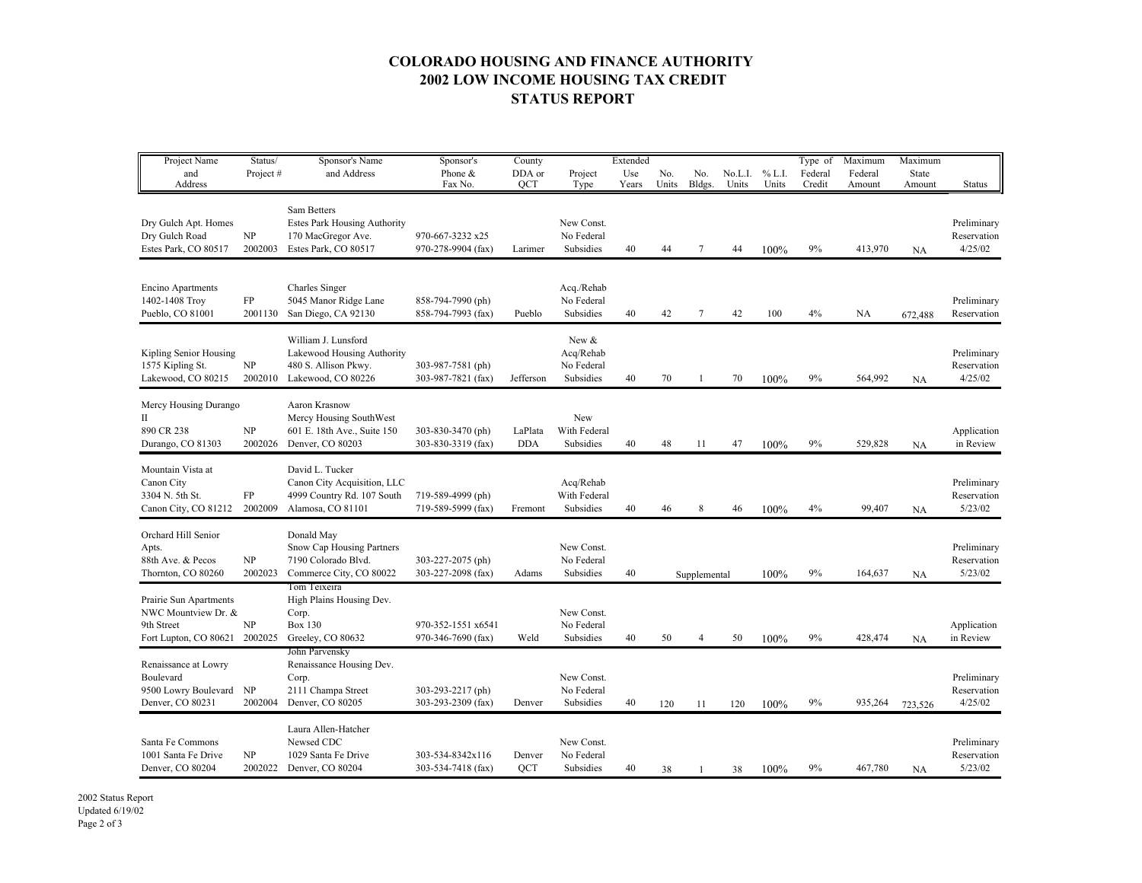## **COLORADO HOUSING AND FINANCE AUTHORITY 2002 LOW INCOME HOUSING TAX CREDIT STATUS REPORT**

| Project Name<br>and<br>Address                                                               | Status/<br>Project# | Sponsor's Name<br>and Address                                                                     | Sponsor's<br>Phone &<br>Fax No.          | County<br>DDA or<br>QCT | Project<br>Type                               | Extended<br>Use<br>Years | No.<br>Units | No.<br>Bldgs.  | No.L.I.<br>Units | % L.I.<br>Units | Type of<br>Federal<br>Credit | Maximum<br>Federal<br>Amount | Maximum<br>State<br>Amount | <b>Status</b>                         |
|----------------------------------------------------------------------------------------------|---------------------|---------------------------------------------------------------------------------------------------|------------------------------------------|-------------------------|-----------------------------------------------|--------------------------|--------------|----------------|------------------|-----------------|------------------------------|------------------------------|----------------------------|---------------------------------------|
| Dry Gulch Apt. Homes<br>Dry Gulch Road<br>Estes Park, CO 80517                               | NP<br>2002003       | Sam Betters<br>Estes Park Housing Authority<br>170 MacGregor Ave.<br>Estes Park, CO 80517         | 970-667-3232 x25<br>970-278-9904 (fax)   | Larimer                 | New Const.<br>No Federal<br>Subsidies         | 40                       | 44           | 7              | 44               | 100%            | 9%                           | 413,970                      | NA                         | Preliminary<br>Reservation<br>4/25/02 |
| Encino Apartments<br>1402-1408 Troy<br>Pueblo, CO 81001                                      | FP<br>2001130       | Charles Singer<br>5045 Manor Ridge Lane<br>San Diego, CA 92130                                    | 858-794-7990 (ph)<br>858-794-7993 (fax)  | Pueblo                  | Acq./Rehab<br>No Federal<br>Subsidies         | 40                       | 42           | $\overline{7}$ | 42               | 100             | 4%                           | NA                           | 672,488                    | Preliminary<br>Reservation            |
| Kipling Senior Housing<br>1575 Kipling St.<br>Lakewood, CO 80215                             | NP<br>2002010       | William J. Lunsford<br>Lakewood Housing Authority<br>480 S. Allison Pkwy.<br>Lakewood, CO 80226   | 303-987-7581 (ph)<br>303-987-7821 (fax)  | Jefferson               | New &<br>Acq/Rehab<br>No Federal<br>Subsidies | 40                       | 70           | 1              | 70               | 100%            | 9%                           | 564,992                      | NA                         | Preliminary<br>Reservation<br>4/25/02 |
| Mercy Housing Durango<br>П<br>890 CR 238<br>Durango, CO 81303                                | NP<br>2002026       | Aaron Krasnow<br>Mercy Housing SouthWest<br>601 E. 18th Ave., Suite 150<br>Denver, CO 80203       | 303-830-3470 (ph)<br>303-830-3319 (fax)  | LaPlata<br><b>DDA</b>   | New<br>With Federal<br>Subsidies              | 40                       | 48           | 11             | 47               | 100%            | 9%                           | 529,828                      | NA                         | Application<br>in Review              |
| Mountain Vista at<br>Canon City<br>3304 N. 5th St.<br>Canon City, CO 81212                   | FP<br>2002009       | David L. Tucker<br>Canon City Acquisition, LLC<br>4999 Country Rd. 107 South<br>Alamosa, CO 81101 | 719-589-4999 (ph)<br>719-589-5999 (fax)  | Fremont                 | Acq/Rehab<br>With Federal<br>Subsidies        | 40                       | 46           | 8              | 46               | 100%            | 4%                           | 99,407                       | NA                         | Preliminary<br>Reservation<br>5/23/02 |
| Orchard Hill Senior<br>Apts.<br>88th Ave. & Pecos<br>Thornton, CO 80260                      | NP<br>2002023       | Donald May<br>Snow Cap Housing Partners<br>7190 Colorado Blvd.<br>Commerce City, CO 80022         | 303-227-2075 (ph)<br>303-227-2098 (fax)  | Adams                   | New Const.<br>No Federal<br>Subsidies         | 40                       |              | Supplemental   |                  | 100%            | 9%                           | 164,637                      | <b>NA</b>                  | Preliminary<br>Reservation<br>5/23/02 |
| Prairie Sun Apartments<br>NWC Mountview Dr. &<br>9th Street<br>Fort Lupton, CO 80621 2002025 | NP                  | Tom Teixeira<br>High Plains Housing Dev.<br>Corp.<br><b>Box 130</b><br>Greeley, CO 80632          | 970-352-1551 x6541<br>970-346-7690 (fax) | Weld                    | New Const.<br>No Federal<br>Subsidies         | 40                       | 50           | 4              | 50               | 100%            | 9%                           | 428,474                      | <b>NA</b>                  | Application<br>in Review              |
| Renaissance at Lowry<br>Boulevard<br>9500 Lowry Boulevard NP<br>Denver, CO 80231             | 2002004             | John Parvensky<br>Renaissance Housing Dev.<br>Corp.<br>2111 Champa Street<br>Denver, CO 80205     | 303-293-2217 (ph)<br>303-293-2309 (fax)  | Denver                  | New Const.<br>No Federal<br>Subsidies         | 40                       | 120          | 11             | 120              | 100%            | 9%                           | 935,264                      | 723,526                    | Preliminary<br>Reservation<br>4/25/02 |
| Santa Fe Commons<br>1001 Santa Fe Drive<br>Denver, CO 80204                                  | NP<br>2002022       | Laura Allen-Hatcher<br>Newsed CDC<br>1029 Santa Fe Drive<br>Denver, CO 80204                      | 303-534-8342x116<br>303-534-7418 (fax)   | Denver<br>QCT           | New Const.<br>No Federal<br>Subsidies         | 40                       | 38           | -1             | 38               | 100%            | 9%                           | 467,780                      | <b>NA</b>                  | Preliminary<br>Reservation<br>5/23/02 |

2002 Status Report Updated 6/19/02 Page 2 of 3